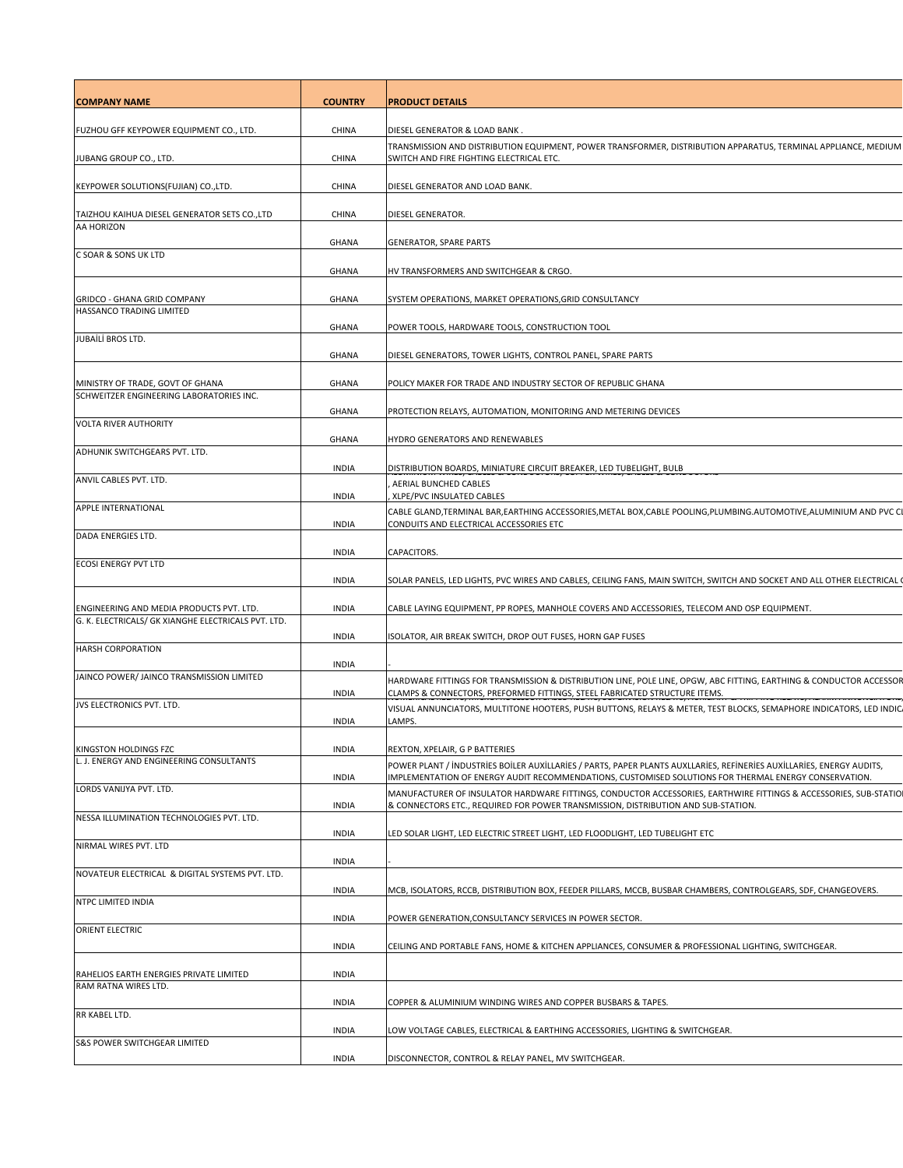| <b>COMPANY NAME</b>                                                          | <b>COUNTRY</b>               | <b>PRODUCT DETAILS</b>                                                                                                                                                                                                                                          |
|------------------------------------------------------------------------------|------------------------------|-----------------------------------------------------------------------------------------------------------------------------------------------------------------------------------------------------------------------------------------------------------------|
|                                                                              |                              |                                                                                                                                                                                                                                                                 |
| FUZHOU GFF KEYPOWER EQUIPMENT CO., LTD.<br>JUBANG GROUP CO., LTD.            | CHINA<br><b>CHINA</b>        | DIESEL GENERATOR & LOAD BANK.<br>TRANSMISSION AND DISTRIBUTION EQUIPMENT, POWER TRANSFORMER, DISTRIBUTION APPARATUS, TERMINAL APPLIANCE, MEDIUM<br>SWITCH AND FIRE FIGHTING ELECTRICAL ETC.                                                                     |
| KEYPOWER SOLUTIONS(FUJIAN) CO.,LTD.                                          | <b>CHINA</b>                 | DIESEL GENERATOR AND LOAD BANK.                                                                                                                                                                                                                                 |
| TAIZHOU KAIHUA DIESEL GENERATOR SETS CO.,LTD                                 | <b>CHINA</b>                 | DIESEL GENERATOR.                                                                                                                                                                                                                                               |
| AA HORIZON                                                                   | <b>GHANA</b>                 | <b>GENERATOR, SPARE PARTS</b>                                                                                                                                                                                                                                   |
| C SOAR & SONS UK LTD                                                         | <b>GHANA</b>                 | HV TRANSFORMERS AND SWITCHGEAR & CRGO.                                                                                                                                                                                                                          |
| GRIDCO - GHANA GRID COMPANY                                                  | <b>GHANA</b>                 | SYSTEM OPERATIONS, MARKET OPERATIONS, GRID CONSULTANCY                                                                                                                                                                                                          |
| HASSANCO TRADING LIMITED                                                     | <b>GHANA</b>                 | POWER TOOLS, HARDWARE TOOLS, CONSTRUCTION TOOL                                                                                                                                                                                                                  |
| JUBAİLİ BROS LTD.                                                            | <b>GHANA</b>                 | DIESEL GENERATORS, TOWER LIGHTS, CONTROL PANEL, SPARE PARTS                                                                                                                                                                                                     |
|                                                                              | <b>GHANA</b>                 | POLICY MAKER FOR TRADE AND INDUSTRY SECTOR OF REPUBLIC GHANA                                                                                                                                                                                                    |
| MINISTRY OF TRADE, GOVT OF GHANA<br>SCHWEITZER ENGINEERING LABORATORIES INC. | <b>GHANA</b>                 | PROTECTION RELAYS, AUTOMATION, MONITORING AND METERING DEVICES                                                                                                                                                                                                  |
| <b>VOLTA RIVER AUTHORITY</b>                                                 |                              |                                                                                                                                                                                                                                                                 |
| ADHUNIK SWITCHGEARS PVT. LTD.                                                | <b>GHANA</b>                 | HYDRO GENERATORS AND RENEWABLES                                                                                                                                                                                                                                 |
| ANVIL CABLES PVT. LTD.                                                       | <b>INDIA</b>                 | DISTRIBUTION BOARDS, MINIATURE CIRCUIT BREAKER, LED TUBELIGHT, BULB<br>AERIAL BUNCHED CABLES                                                                                                                                                                    |
| <b>APPLE INTERNATIONAL</b>                                                   | <b>INDIA</b>                 | XLPE/PVC INSULATED CABLES                                                                                                                                                                                                                                       |
|                                                                              | <b>INDIA</b>                 | CABLE GLAND, TERMINAL BAR, EARTHING ACCESSORIES, METAL BOX, CABLE POOLING, PLUMBING. AUTOMOTIVE, ALUMINIUM AND PVCCI<br>CONDUITS AND ELECTRICAL ACCESSORIES ETC                                                                                                 |
| DADA ENERGIES LTD.                                                           | <b>INDIA</b>                 | CAPACITORS.                                                                                                                                                                                                                                                     |
| <b>ECOSI ENERGY PVT LTD</b>                                                  | <b>INDIA</b>                 | SOLAR PANELS, LED LIGHTS, PVC WIRES AND CABLES, CEILING FANS, MAIN SWITCH, SWITCH AND SOCKET AND ALL OTHER ELECTRICAL                                                                                                                                           |
| ENGINEERING AND MEDIA PRODUCTS PVT. LTD.                                     | <b>INDIA</b>                 | CABLE LAYING EQUIPMENT, PP ROPES, MANHOLE COVERS AND ACCESSORIES, TELECOM AND OSP EQUIPMENT.                                                                                                                                                                    |
| G. K. ELECTRICALS/ GK XIANGHE ELECTRICALS PVT. LTD.                          | <b>INDIA</b>                 | ISOLATOR, AIR BREAK SWITCH, DROP OUT FUSES, HORN GAP FUSES                                                                                                                                                                                                      |
| <b>HARSH CORPORATION</b>                                                     | <b>INDIA</b>                 |                                                                                                                                                                                                                                                                 |
| JAINCO POWER/ JAINCO TRANSMISSION LIMITED                                    | <b>INDIA</b>                 | HARDWARE FITTINGS FOR TRANSMISSION & DISTRIBUTION LINE, POLE LINE, OPGW, ABC FITTING, EARTHING & CONDUCTOR ACCESSOR<br>CLAMPS & CONNECTORS, PREFORMED FITTINGS, STEEL FABRICATED STRUCTURE ITEMS.                                                               |
| JVS ELECTRONICS PVT. LTD.                                                    | <b>INDIA</b>                 | VISUAL ANNUNCIATORS, MULTITONE HOOTERS, PUSH BUTTONS, RELAYS & METER, TEST BLOCKS, SEMAPHORE INDICATORS, LED INDIC<br>LAMPS.                                                                                                                                    |
|                                                                              |                              |                                                                                                                                                                                                                                                                 |
| KINGSTON HOLDINGS FZC<br>L. J. ENERGY AND ENGINEERING CONSULTANTS            | <b>INDIA</b><br><b>INDIA</b> | REXTON, XPELAIR, G P BATTERIES<br>POWER PLANT / INDUSTRIES BOILER AUXILLARIES / PARTS, PAPER PLANTS AUXLLARIES, REFINERIES AUXILLARIES, ENERGY AUDITS,<br>IMPLEMENTATION OF ENERGY AUDIT RECOMMENDATIONS, CUSTOMISED SOLUTIONS FOR THERMAL ENERGY CONSERVATION. |
| LORDS VANIJYA PVT. LTD.                                                      | <b>INDIA</b>                 | MANUFACTURER OF INSULATOR HARDWARE FITTINGS, CONDUCTOR ACCESSORIES, EARTHWIRE FITTINGS & ACCESSORIES, SUB-STATIO<br>& CONNECTORS ETC., REQUIRED FOR POWER TRANSMISSION, DISTRIBUTION AND SUB-STATION.                                                           |
| NESSA ILLUMINATION TECHNOLOGIES PVT. LTD.                                    | <b>INDIA</b>                 | LED SOLAR LIGHT, LED ELECTRIC STREET LIGHT, LED FLOODLIGHT, LED TUBELIGHT ETC                                                                                                                                                                                   |
| NIRMAL WIRES PVT. LTD                                                        |                              |                                                                                                                                                                                                                                                                 |
| NOVATEUR ELECTRICAL & DIGITAL SYSTEMS PVT. LTD.                              | <b>INDIA</b><br><b>INDIA</b> | MCB, ISOLATORS, RCCB, DISTRIBUTION BOX, FEEDER PILLARS, MCCB, BUSBAR CHAMBERS, CONTROLGEARS, SDF, CHANGEOVERS.                                                                                                                                                  |
| NTPC LIMITED INDIA                                                           |                              |                                                                                                                                                                                                                                                                 |
| <b>ORIENT ELECTRIC</b>                                                       | <b>INDIA</b><br><b>INDIA</b> | POWER GENERATION, CONSULTANCY SERVICES IN POWER SECTOR.<br>CEILING AND PORTABLE FANS, HOME & KITCHEN APPLIANCES, CONSUMER & PROFESSIONAL LIGHTING, SWITCHGEAR.                                                                                                  |
|                                                                              |                              |                                                                                                                                                                                                                                                                 |
| RAHELIOS EARTH ENERGIES PRIVATE LIMITED<br>RAM RATNA WIRES LTD.              | <b>INDIA</b>                 |                                                                                                                                                                                                                                                                 |
| RR KABEL LTD.                                                                | <b>INDIA</b>                 | COPPER & ALUMINIUM WINDING WIRES AND COPPER BUSBARS & TAPES.                                                                                                                                                                                                    |
| <b>S&amp;S POWER SWITCHGEAR LIMITED</b>                                      | <b>INDIA</b>                 | LOW VOLTAGE CABLES, ELECTRICAL & EARTHING ACCESSORIES, LIGHTING & SWITCHGEAR.                                                                                                                                                                                   |
|                                                                              | <b>INDIA</b>                 | DISCONNECTOR, CONTROL & RELAY PANEL, MV SWITCHGEAR.                                                                                                                                                                                                             |